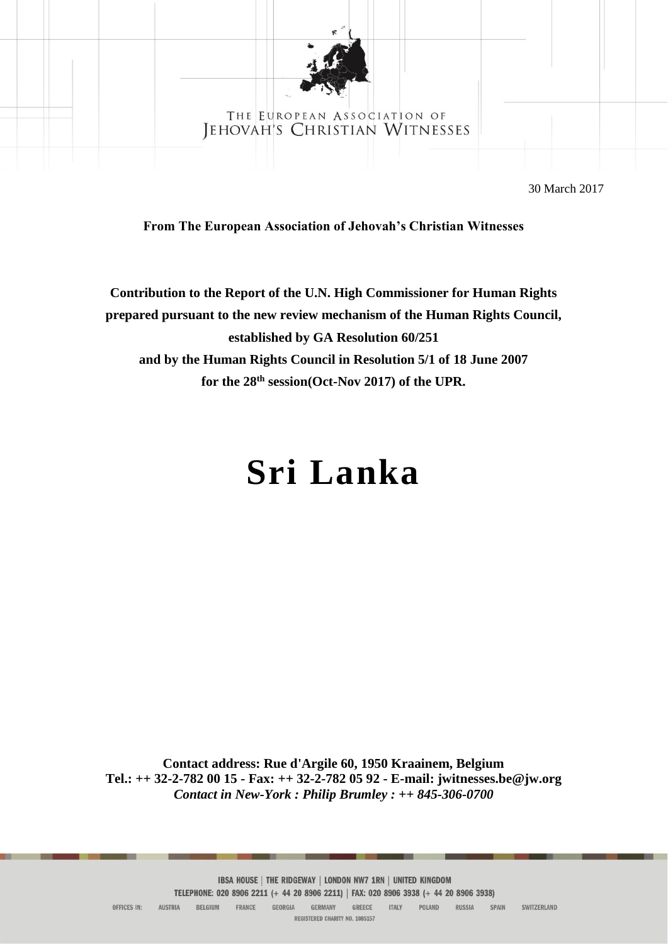

THE EUROPEAN ASSOCIATION OF JEHOVAH'S CHRISTIAN WITNESSES

30 March 2017

**From The European Association of Jehovah's Christian Witnesses**

**Contribution to the Report of the U.N. High Commissioner for Human Rights prepared pursuant to the new review mechanism of the Human Rights Council, established by GA Resolution 60/251 and by the Human Rights Council in Resolution 5/1 of 18 June 2007 for the 28th session(Oct-Nov 2017) of the UPR.**

# **Sri Lanka**

**Contact address: Rue d'Argile 60, 1950 Kraainem, Belgium Tel.: ++ 32-2-782 00 15 - Fax: ++ 32-2-782 05 92 - E-mail: jwitnesses.be@jw.org** *Contact in New-York : Philip Brumley : ++ 845-306-0700*

IBSA HOUSE | THE RIDGEWAY | LONDON NW7 1RN | UNITED KINGDOM TELEPHONE: 020 8906 2211 (+ 44 20 8906 2211) | FAX: 020 8906 3938 (+ 44 20 8906 3938) OFFICES IN: AUSTRIA BELGIUM FRANCE GEORGIA GERMANY GREECE ITALY POLAND RUSSIA SPAIN SWITZERLAND

REGISTERED CHARITY NO. 1085157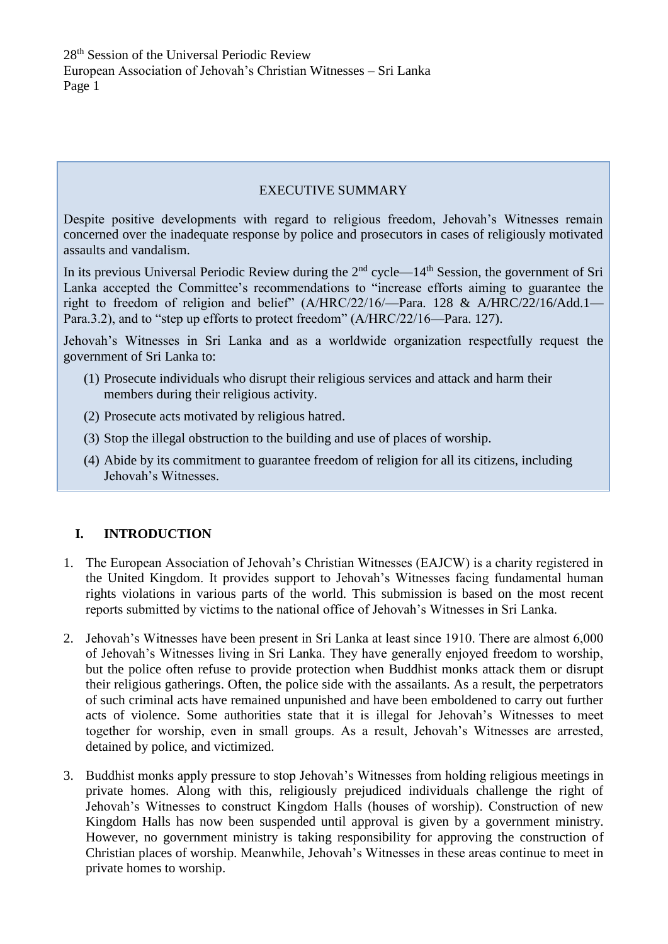#### EXECUTIVE SUMMARY

Despite positive developments with regard to religious freedom, Jehovah's Witnesses remain concerned over the inadequate response by police and prosecutors in cases of religiously motivated assaults and vandalism.

In its previous Universal Periodic Review during the  $2<sup>nd</sup>$  cycle—14<sup>th</sup> Session, the government of Sri Lanka accepted the Committee's recommendations to "increase efforts aiming to guarantee the right to freedom of religion and belief" (A/HRC/22/16/—Para. 128 & A/HRC/22/16/Add.1— Para.3.2), and to "step up efforts to protect freedom" (A/HRC/22/16—Para. 127).

Jehovah's Witnesses in Sri Lanka and as a worldwide organization respectfully request the government of Sri Lanka to:

- (1) Prosecute individuals who disrupt their religious services and attack and harm their members during their religious activity.
- (2) Prosecute acts motivated by religious hatred.
- (3) Stop the illegal obstruction to the building and use of places of worship.
- (4) Abide by its commitment to guarantee freedom of religion for all its citizens, including Jehovah's Witnesses.

# **I. INTRODUCTION**

- 1. The European Association of Jehovah's Christian Witnesses (EAJCW) is a charity registered in the United Kingdom. It provides support to Jehovah's Witnesses facing fundamental human rights violations in various parts of the world. This submission is based on the most recent reports submitted by victims to the national office of Jehovah's Witnesses in Sri Lanka.
- 2. Jehovah's Witnesses have been present in Sri Lanka at least since 1910. There are almost 6,000 of Jehovah's Witnesses living in Sri Lanka. They have generally enjoyed freedom to worship, but the police often refuse to provide protection when Buddhist monks attack them or disrupt their religious gatherings. Often, the police side with the assailants. As a result, the perpetrators of such criminal acts have remained unpunished and have been emboldened to carry out further acts of violence. Some authorities state that it is illegal for Jehovah's Witnesses to meet together for worship, even in small groups. As a result, Jehovah's Witnesses are arrested, detained by police, and victimized.
- 3. Buddhist monks apply pressure to stop Jehovah's Witnesses from holding religious meetings in private homes. Along with this, religiously prejudiced individuals challenge the right of Jehovah's Witnesses to construct Kingdom Halls (houses of worship). Construction of new Kingdom Halls has now been suspended until approval is given by a government ministry. However, no government ministry is taking responsibility for approving the construction of Christian places of worship. Meanwhile, Jehovah's Witnesses in these areas continue to meet in private homes to worship.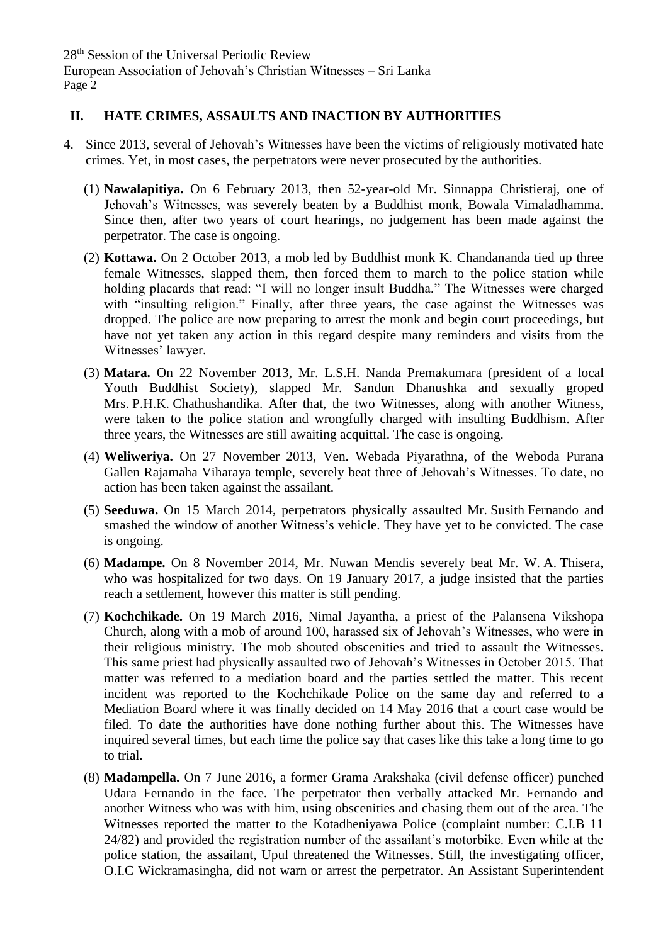# **II. HATE CRIMES, ASSAULTS AND INACTION BY AUTHORITIES**

- 4. Since 2013, several of Jehovah's Witnesses have been the victims of religiously motivated hate crimes. Yet, in most cases, the perpetrators were never prosecuted by the authorities.
	- (1) **Nawalapitiya.** On 6 February 2013, then 52-year-old Mr. Sinnappa Christieraj, one of Jehovah's Witnesses, was severely beaten by a Buddhist monk, Bowala Vimaladhamma. Since then, after two years of court hearings, no judgement has been made against the perpetrator. The case is ongoing.
	- (2) **Kottawa.** On 2 October 2013, a mob led by Buddhist monk K. Chandananda tied up three female Witnesses, slapped them, then forced them to march to the police station while holding placards that read: "I will no longer insult Buddha." The Witnesses were charged with "insulting religion." Finally, after three years, the case against the Witnesses was dropped. The police are now preparing to arrest the monk and begin court proceedings, but have not yet taken any action in this regard despite many reminders and visits from the Witnesses' lawyer.
	- (3) **Matara.** On 22 November 2013, Mr. L.S.H. Nanda Premakumara (president of a local Youth Buddhist Society), slapped Mr. Sandun Dhanushka and sexually groped Mrs. P.H.K. Chathushandika. After that, the two Witnesses, along with another Witness, were taken to the police station and wrongfully charged with insulting Buddhism. After three years, the Witnesses are still awaiting acquittal. The case is ongoing.
	- (4) **Weliweriya.** On 27 November 2013, Ven. Webada Piyarathna, of the Weboda Purana Gallen Rajamaha Viharaya temple, severely beat three of Jehovah's Witnesses. To date, no action has been taken against the assailant.
	- (5) **Seeduwa.** On 15 March 2014, perpetrators physically assaulted Mr. Susith Fernando and smashed the window of another Witness's vehicle. They have yet to be convicted. The case is ongoing.
	- (6) **Madampe.** On 8 November 2014, Mr. Nuwan Mendis severely beat Mr. W. A. Thisera, who was hospitalized for two days. On 19 January 2017, a judge insisted that the parties reach a settlement, however this matter is still pending.
	- (7) **Kochchikade.** On 19 March 2016, Nimal Jayantha, a priest of the Palansena Vikshopa Church, along with a mob of around 100, harassed six of Jehovah's Witnesses, who were in their religious ministry. The mob shouted obscenities and tried to assault the Witnesses. This same priest had physically assaulted two of Jehovah's Witnesses in October 2015. That matter was referred to a mediation board and the parties settled the matter. This recent incident was reported to the Kochchikade Police on the same day and referred to a Mediation Board where it was finally decided on 14 May 2016 that a court case would be filed. To date the authorities have done nothing further about this. The Witnesses have inquired several times, but each time the police say that cases like this take a long time to go to trial.
	- (8) **Madampella.** On 7 June 2016, a former Grama Arakshaka (civil defense officer) punched Udara Fernando in the face. The perpetrator then verbally attacked Mr. Fernando and another Witness who was with him, using obscenities and chasing them out of the area. The Witnesses reported the matter to the Kotadheniyawa Police (complaint number: C.I.B 11 24/82) and provided the registration number of the assailant's motorbike. Even while at the police station, the assailant, Upul threatened the Witnesses. Still, the investigating officer, O.I.C Wickramasingha, did not warn or arrest the perpetrator. An Assistant Superintendent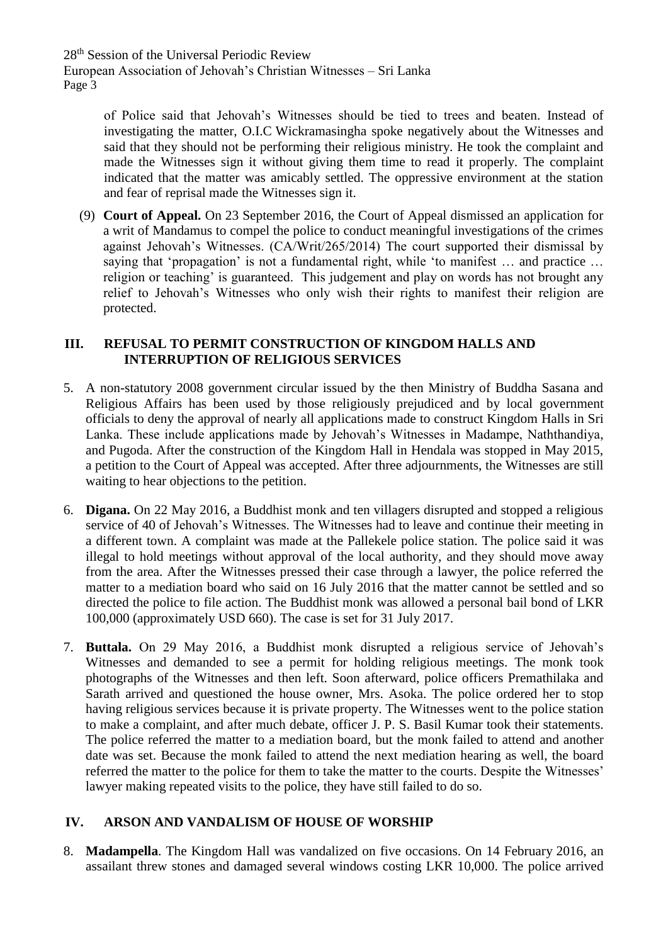> of Police said that Jehovah's Witnesses should be tied to trees and beaten. Instead of investigating the matter, O.I.C Wickramasingha spoke negatively about the Witnesses and said that they should not be performing their religious ministry. He took the complaint and made the Witnesses sign it without giving them time to read it properly. The complaint indicated that the matter was amicably settled. The oppressive environment at the station and fear of reprisal made the Witnesses sign it.

(9) **Court of Appeal.** On 23 September 2016, the Court of Appeal dismissed an application for a writ of Mandamus to compel the police to conduct meaningful investigations of the crimes against Jehovah's Witnesses. (CA/Writ/265/2014) The court supported their dismissal by saying that 'propagation' is not a fundamental right, while 'to manifest … and practice … religion or teaching' is guaranteed. This judgement and play on words has not brought any relief to Jehovah's Witnesses who only wish their rights to manifest their religion are protected.

#### **III. REFUSAL TO PERMIT CONSTRUCTION OF KINGDOM HALLS AND INTERRUPTION OF RELIGIOUS SERVICES**

- 5. A non-statutory 2008 government circular issued by the then Ministry of Buddha Sasana and Religious Affairs has been used by those religiously prejudiced and by local government officials to deny the approval of nearly all applications made to construct Kingdom Halls in Sri Lanka. These include applications made by Jehovah's Witnesses in Madampe, Naththandiya, and Pugoda. After the construction of the Kingdom Hall in Hendala was stopped in May 2015, a petition to the Court of Appeal was accepted. After three adjournments, the Witnesses are still waiting to hear objections to the petition.
- 6. **Digana.** On 22 May 2016, a Buddhist monk and ten villagers disrupted and stopped a religious service of 40 of Jehovah's Witnesses. The Witnesses had to leave and continue their meeting in a different town. A complaint was made at the Pallekele police station. The police said it was illegal to hold meetings without approval of the local authority, and they should move away from the area. After the Witnesses pressed their case through a lawyer, the police referred the matter to a mediation board who said on 16 July 2016 that the matter cannot be settled and so directed the police to file action. The Buddhist monk was allowed a personal bail bond of LKR 100,000 (approximately USD 660). The case is set for 31 July 2017.
- 7. **Buttala.** On 29 May 2016, a Buddhist monk disrupted a religious service of Jehovah's Witnesses and demanded to see a permit for holding religious meetings. The monk took photographs of the Witnesses and then left. Soon afterward, police officers Premathilaka and Sarath arrived and questioned the house owner, Mrs. Asoka. The police ordered her to stop having religious services because it is private property. The Witnesses went to the police station to make a complaint, and after much debate, officer J. P. S. Basil Kumar took their statements. The police referred the matter to a mediation board, but the monk failed to attend and another date was set. Because the monk failed to attend the next mediation hearing as well, the board referred the matter to the police for them to take the matter to the courts. Despite the Witnesses' lawyer making repeated visits to the police, they have still failed to do so.

# **IV. ARSON AND VANDALISM OF HOUSE OF WORSHIP**

8. **Madampella**. The Kingdom Hall was vandalized on five occasions. On 14 February 2016, an assailant threw stones and damaged several windows costing LKR 10,000. The police arrived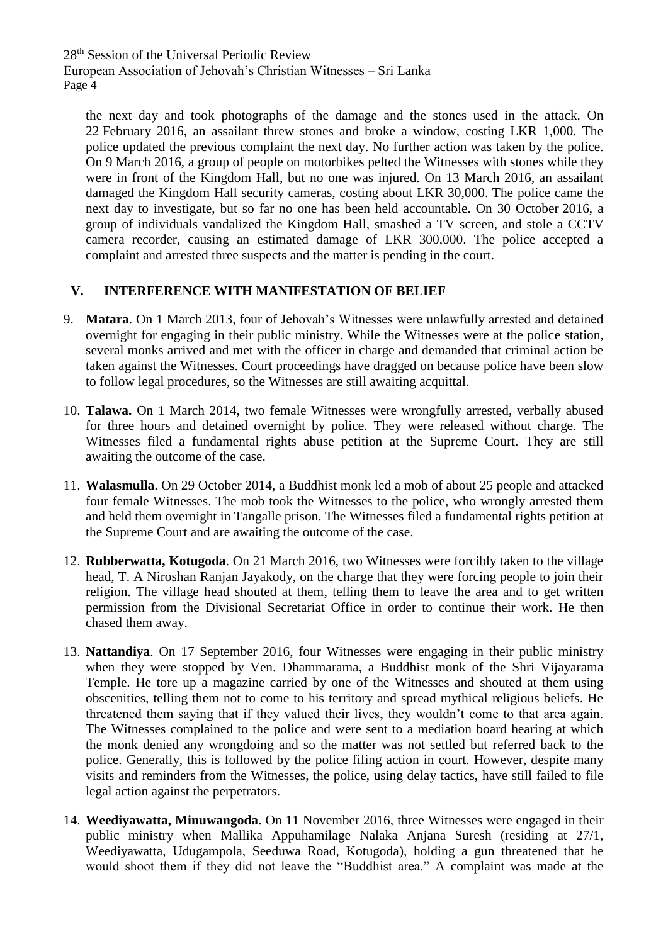the next day and took photographs of the damage and the stones used in the attack. On 22 February 2016, an assailant threw stones and broke a window, costing LKR 1,000. The police updated the previous complaint the next day. No further action was taken by the police. On 9 March 2016, a group of people on motorbikes pelted the Witnesses with stones while they were in front of the Kingdom Hall, but no one was injured. On 13 March 2016, an assailant damaged the Kingdom Hall security cameras, costing about LKR 30,000. The police came the next day to investigate, but so far no one has been held accountable. On 30 October 2016, a group of individuals vandalized the Kingdom Hall, smashed a TV screen, and stole a CCTV camera recorder, causing an estimated damage of LKR 300,000. The police accepted a complaint and arrested three suspects and the matter is pending in the court.

# **V. INTERFERENCE WITH MANIFESTATION OF BELIEF**

- 9. **Matara**. On 1 March 2013, four of Jehovah's Witnesses were unlawfully arrested and detained overnight for engaging in their public ministry. While the Witnesses were at the police station, several monks arrived and met with the officer in charge and demanded that criminal action be taken against the Witnesses. Court proceedings have dragged on because police have been slow to follow legal procedures, so the Witnesses are still awaiting acquittal.
- 10. **Talawa.** On 1 March 2014, two female Witnesses were wrongfully arrested, verbally abused for three hours and detained overnight by police. They were released without charge. The Witnesses filed a fundamental rights abuse petition at the Supreme Court. They are still awaiting the outcome of the case.
- 11. **Walasmulla**. On 29 October 2014, a Buddhist monk led a mob of about 25 people and attacked four female Witnesses. The mob took the Witnesses to the police, who wrongly arrested them and held them overnight in Tangalle prison. The Witnesses filed a fundamental rights petition at the Supreme Court and are awaiting the outcome of the case.
- 12. **Rubberwatta, Kotugoda**. On 21 March 2016, two Witnesses were forcibly taken to the village head, T. A Niroshan Ranjan Jayakody, on the charge that they were forcing people to join their religion. The village head shouted at them, telling them to leave the area and to get written permission from the Divisional Secretariat Office in order to continue their work. He then chased them away.
- 13. **Nattandiya**. On 17 September 2016, four Witnesses were engaging in their public ministry when they were stopped by Ven. Dhammarama, a Buddhist monk of the Shri Vijayarama Temple. He tore up a magazine carried by one of the Witnesses and shouted at them using obscenities, telling them not to come to his territory and spread mythical religious beliefs. He threatened them saying that if they valued their lives, they wouldn't come to that area again. The Witnesses complained to the police and were sent to a mediation board hearing at which the monk denied any wrongdoing and so the matter was not settled but referred back to the police. Generally, this is followed by the police filing action in court. However, despite many visits and reminders from the Witnesses, the police, using delay tactics, have still failed to file legal action against the perpetrators.
- 14. **Weediyawatta, Minuwangoda.** On 11 November 2016, three Witnesses were engaged in their public ministry when Mallika Appuhamilage Nalaka Anjana Suresh (residing at 27/1, Weediyawatta, Udugampola, Seeduwa Road, Kotugoda), holding a gun threatened that he would shoot them if they did not leave the "Buddhist area." A complaint was made at the